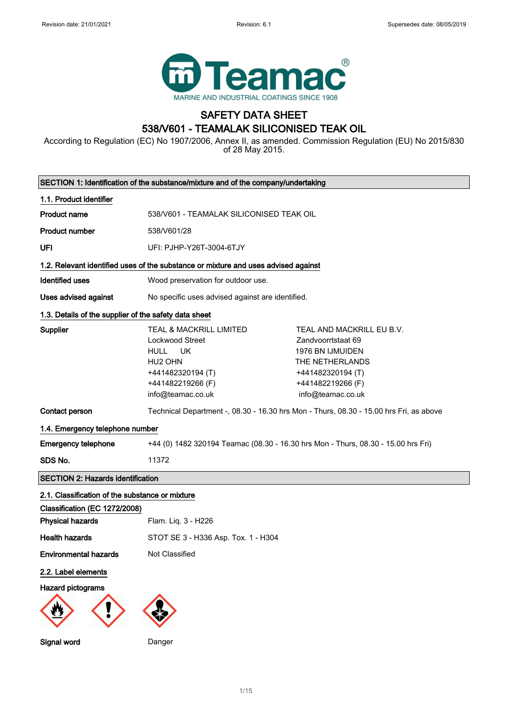

## SAFETY DATA SHEET 538/V601 - TEAMALAK SILICONISED TEAK OIL

According to Regulation (EC) No 1907/2006, Annex II, as amended. Commission Regulation (EU) No 2015/830 of 28 May 2015.

|                                                                                    | SECTION 1: Identification of the substance/mixture and of the company/undertaking                                                                     |                                                                                                                                                       |  |
|------------------------------------------------------------------------------------|-------------------------------------------------------------------------------------------------------------------------------------------------------|-------------------------------------------------------------------------------------------------------------------------------------------------------|--|
| 1.1. Product identifier                                                            |                                                                                                                                                       |                                                                                                                                                       |  |
| <b>Product name</b>                                                                | 538/V601 - TEAMALAK SILICONISED TEAK OIL                                                                                                              |                                                                                                                                                       |  |
| <b>Product number</b>                                                              | 538/V601/28                                                                                                                                           |                                                                                                                                                       |  |
| UFI                                                                                | UFI: PJHP-Y26T-3004-6TJY                                                                                                                              |                                                                                                                                                       |  |
| 1.2. Relevant identified uses of the substance or mixture and uses advised against |                                                                                                                                                       |                                                                                                                                                       |  |
| <b>Identified uses</b>                                                             | Wood preservation for outdoor use.                                                                                                                    |                                                                                                                                                       |  |
| Uses advised against                                                               | No specific uses advised against are identified.                                                                                                      |                                                                                                                                                       |  |
| 1.3. Details of the supplier of the safety data sheet                              |                                                                                                                                                       |                                                                                                                                                       |  |
| <b>Supplier</b>                                                                    | TEAL & MACKRILL LIMITED<br>Lockwood Street<br>UK<br><b>HULL</b><br>HU <sub>2</sub> OHN<br>+441482320194 (T)<br>+441482219266 (F)<br>info@teamac.co.uk | TEAL AND MACKRILL EU B.V.<br>Zandvoorrtstaat 69<br>1976 BN IJMUIDEN<br>THE NETHERLANDS<br>+441482320194 (T)<br>+441482219266 (F)<br>info@teamac.co.uk |  |
| Contact person                                                                     | Technical Department -, 08.30 - 16.30 hrs Mon - Thurs, 08.30 - 15.00 hrs Fri, as above                                                                |                                                                                                                                                       |  |
| 1.4. Emergency telephone number                                                    |                                                                                                                                                       |                                                                                                                                                       |  |
| <b>Emergency telephone</b>                                                         | +44 (0) 1482 320194 Teamac (08.30 - 16.30 hrs Mon - Thurs, 08.30 - 15.00 hrs Fri)                                                                     |                                                                                                                                                       |  |
| SDS No.                                                                            | 11372                                                                                                                                                 |                                                                                                                                                       |  |
| <b>SECTION 2: Hazards identification</b>                                           |                                                                                                                                                       |                                                                                                                                                       |  |
| 2.1. Classification of the substance or mixture                                    |                                                                                                                                                       |                                                                                                                                                       |  |
| Classification (EC 1272/2008)                                                      |                                                                                                                                                       |                                                                                                                                                       |  |
| <b>Physical hazards</b>                                                            | Flam. Liq. 3 - H226                                                                                                                                   |                                                                                                                                                       |  |
| <b>Health hazards</b>                                                              | STOT SE 3 - H336 Asp. Tox. 1 - H304                                                                                                                   |                                                                                                                                                       |  |
| <b>Environmental hazards</b>                                                       | Not Classified                                                                                                                                        |                                                                                                                                                       |  |
| 2.2. Label elements                                                                |                                                                                                                                                       |                                                                                                                                                       |  |
| <b>Hazard pictograms</b>                                                           |                                                                                                                                                       |                                                                                                                                                       |  |
| Signal word                                                                        | Danger                                                                                                                                                |                                                                                                                                                       |  |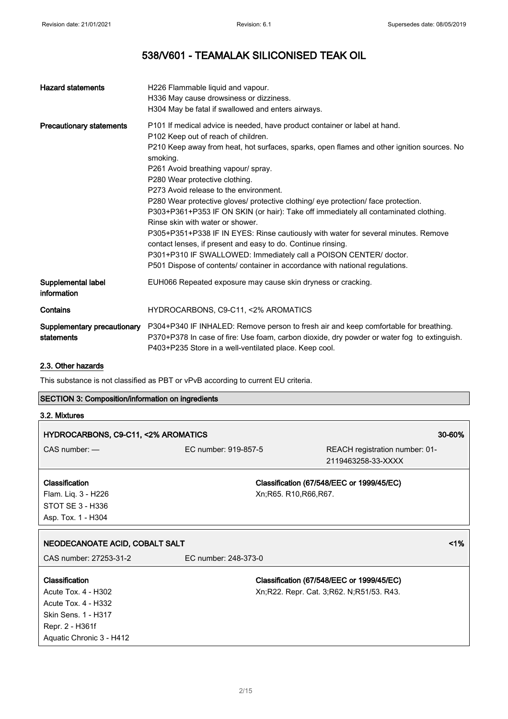| <b>Hazard statements</b>                  | H226 Flammable liquid and vapour.<br>H336 May cause drowsiness or dizziness.<br>H304 May be fatal if swallowed and enters airways.                                                                                                                                                                                                                                                                                                                                                                                                                                                                                                                                                                                                                                                                                                                                          |
|-------------------------------------------|-----------------------------------------------------------------------------------------------------------------------------------------------------------------------------------------------------------------------------------------------------------------------------------------------------------------------------------------------------------------------------------------------------------------------------------------------------------------------------------------------------------------------------------------------------------------------------------------------------------------------------------------------------------------------------------------------------------------------------------------------------------------------------------------------------------------------------------------------------------------------------|
| <b>Precautionary statements</b>           | P101 If medical advice is needed, have product container or label at hand.<br>P102 Keep out of reach of children.<br>P210 Keep away from heat, hot surfaces, sparks, open flames and other ignition sources. No<br>smoking.<br>P261 Avoid breathing vapour/ spray.<br>P280 Wear protective clothing.<br>P273 Avoid release to the environment.<br>P280 Wear protective gloves/ protective clothing/ eye protection/ face protection.<br>P303+P361+P353 IF ON SKIN (or hair): Take off immediately all contaminated clothing.<br>Rinse skin with water or shower.<br>P305+P351+P338 IF IN EYES: Rinse cautiously with water for several minutes. Remove<br>contact lenses, if present and easy to do. Continue rinsing.<br>P301+P310 IF SWALLOWED: Immediately call a POISON CENTER/ doctor.<br>P501 Dispose of contents/ container in accordance with national regulations. |
| Supplemental label<br>information         | EUH066 Repeated exposure may cause skin dryness or cracking.                                                                                                                                                                                                                                                                                                                                                                                                                                                                                                                                                                                                                                                                                                                                                                                                                |
| Contains                                  | HYDROCARBONS, C9-C11, <2% AROMATICS                                                                                                                                                                                                                                                                                                                                                                                                                                                                                                                                                                                                                                                                                                                                                                                                                                         |
| Supplementary precautionary<br>statements | P304+P340 IF INHALED: Remove person to fresh air and keep comfortable for breathing.<br>P370+P378 In case of fire: Use foam, carbon dioxide, dry powder or water fog to extinguish.<br>P403+P235 Store in a well-ventilated place. Keep cool.                                                                                                                                                                                                                                                                                                                                                                                                                                                                                                                                                                                                                               |

#### 2.3. Other hazards

This substance is not classified as PBT or vPvB according to current EU criteria.

| <b>SECTION 3: Composition/information on ingredients</b> |                      |                                                                                       |  |
|----------------------------------------------------------|----------------------|---------------------------------------------------------------------------------------|--|
| 3.2. Mixtures                                            |                      |                                                                                       |  |
| HYDROCARBONS, C9-C11, <2% AROMATICS                      |                      | 30-60%                                                                                |  |
| $CAS$ number: $-$                                        | EC number: 919-857-5 | REACH registration number: 01-<br>2119463258-33-XXXX                                  |  |
| Classification                                           |                      | Classification (67/548/EEC or 1999/45/EC)                                             |  |
| Flam. Liq. 3 - H226                                      |                      | Xn; R65. R10, R66, R67.                                                               |  |
| STOT SE 3 - H336                                         |                      |                                                                                       |  |
| Asp. Tox. 1 - H304                                       |                      |                                                                                       |  |
|                                                          |                      |                                                                                       |  |
|                                                          |                      |                                                                                       |  |
| NEODECANOATE ACID, COBALT SALT<br>CAS number: 27253-31-2 | EC number: 248-373-0 | $1\%$                                                                                 |  |
| Classification                                           |                      |                                                                                       |  |
| Acute Tox. 4 - H302                                      |                      | Classification (67/548/EEC or 1999/45/EC)<br>Xn;R22. Repr. Cat. 3;R62. N;R51/53. R43. |  |
| Acute Tox. 4 - H332                                      |                      |                                                                                       |  |
| Skin Sens. 1 - H317                                      |                      |                                                                                       |  |
| Repr. 2 - H361f                                          |                      |                                                                                       |  |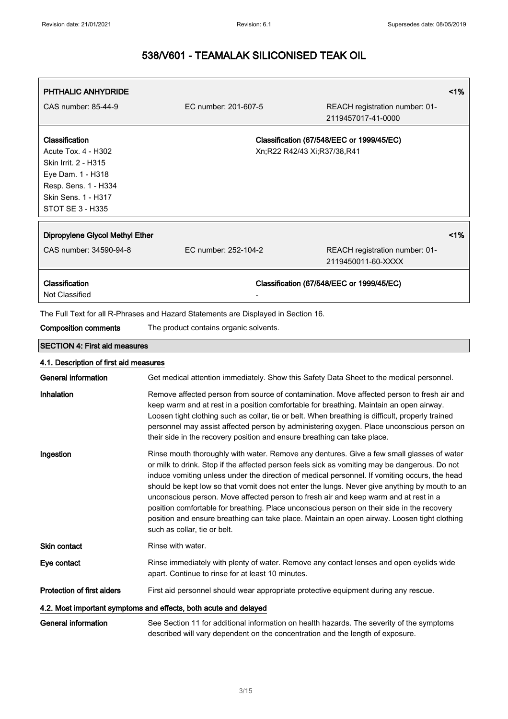| PHTHALIC ANHYDRIDE                        |                                                                                                                                                                                            | 1%                                                                                                                                                                                             |
|-------------------------------------------|--------------------------------------------------------------------------------------------------------------------------------------------------------------------------------------------|------------------------------------------------------------------------------------------------------------------------------------------------------------------------------------------------|
| CAS number: 85-44-9                       | EC number: 201-607-5                                                                                                                                                                       | REACH registration number: 01-<br>2119457017-41-0000                                                                                                                                           |
| Classification                            | Classification (67/548/EEC or 1999/45/EC)                                                                                                                                                  |                                                                                                                                                                                                |
| Acute Tox. 4 - H302                       |                                                                                                                                                                                            | Xn;R22 R42/43 Xi;R37/38,R41                                                                                                                                                                    |
| Skin Irrit. 2 - H315<br>Eye Dam. 1 - H318 |                                                                                                                                                                                            |                                                                                                                                                                                                |
| Resp. Sens. 1 - H334                      |                                                                                                                                                                                            |                                                                                                                                                                                                |
| Skin Sens. 1 - H317                       |                                                                                                                                                                                            |                                                                                                                                                                                                |
| STOT SE 3 - H335                          |                                                                                                                                                                                            |                                                                                                                                                                                                |
| Dipropylene Glycol Methyl Ether           |                                                                                                                                                                                            | 1%                                                                                                                                                                                             |
| CAS number: 34590-94-8                    | EC number: 252-104-2                                                                                                                                                                       | REACH registration number: 01-                                                                                                                                                                 |
|                                           |                                                                                                                                                                                            | 2119450011-60-XXXX                                                                                                                                                                             |
| Classification<br>Not Classified          | Classification (67/548/EEC or 1999/45/EC)                                                                                                                                                  |                                                                                                                                                                                                |
|                                           | The Full Text for all R-Phrases and Hazard Statements are Displayed in Section 16.                                                                                                         |                                                                                                                                                                                                |
| <b>Composition comments</b>               | The product contains organic solvents.                                                                                                                                                     |                                                                                                                                                                                                |
| <b>SECTION 4: First aid measures</b>      |                                                                                                                                                                                            |                                                                                                                                                                                                |
| 4.1. Description of first aid measures    |                                                                                                                                                                                            |                                                                                                                                                                                                |
| <b>General information</b>                |                                                                                                                                                                                            | Get medical attention immediately. Show this Safety Data Sheet to the medical personnel.                                                                                                       |
| Inhalation                                | Remove affected person from source of contamination. Move affected person to fresh air and<br>keep warm and at rest in a position comfortable for breathing. Maintain an open airway.      |                                                                                                                                                                                                |
|                                           |                                                                                                                                                                                            | Loosen tight clothing such as collar, tie or belt. When breathing is difficult, properly trained                                                                                               |
|                                           |                                                                                                                                                                                            | personnel may assist affected person by administering oxygen. Place unconscious person on                                                                                                      |
|                                           | their side in the recovery position and ensure breathing can take place.                                                                                                                   |                                                                                                                                                                                                |
| Ingestion                                 | Rinse mouth thoroughly with water. Remove any dentures. Give a few small glasses of water<br>or milk to drink. Stop if the affected person feels sick as vomiting may be dangerous. Do not |                                                                                                                                                                                                |
|                                           |                                                                                                                                                                                            | induce vomiting unless under the direction of medical personnel. If vomiting occurs, the head<br>should be kept low so that vomit does not enter the lungs. Never give anything by mouth to an |
|                                           |                                                                                                                                                                                            | unconscious person. Move affected person to fresh air and keep warm and at rest in a                                                                                                           |
|                                           |                                                                                                                                                                                            | position comfortable for breathing. Place unconscious person on their side in the recovery                                                                                                     |
|                                           | such as collar, tie or belt.                                                                                                                                                               | position and ensure breathing can take place. Maintain an open airway. Loosen tight clothing                                                                                                   |
| Skin contact                              | Rinse with water.                                                                                                                                                                          |                                                                                                                                                                                                |
| Eye contact                               | apart. Continue to rinse for at least 10 minutes.                                                                                                                                          | Rinse immediately with plenty of water. Remove any contact lenses and open eyelids wide                                                                                                        |
| Protection of first aiders                |                                                                                                                                                                                            | First aid personnel should wear appropriate protective equipment during any rescue.                                                                                                            |
|                                           | 4.2. Most important symptoms and effects, both acute and delayed                                                                                                                           |                                                                                                                                                                                                |
| <b>General information</b>                | described will vary dependent on the concentration and the length of exposure.                                                                                                             | See Section 11 for additional information on health hazards. The severity of the symptoms                                                                                                      |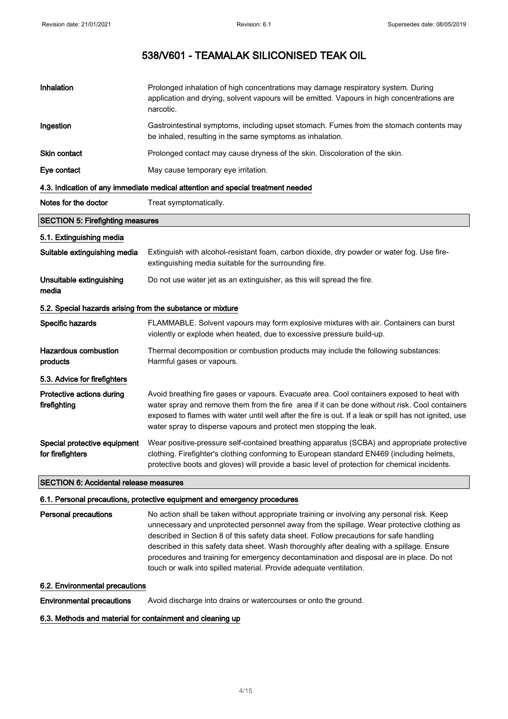| Inhalation                                                 | Prolonged inhalation of high concentrations may damage respiratory system. During<br>application and drying, solvent vapours will be emitted. Vapours in high concentrations are<br>narcotic.                                                                                                                                                                                |  |
|------------------------------------------------------------|------------------------------------------------------------------------------------------------------------------------------------------------------------------------------------------------------------------------------------------------------------------------------------------------------------------------------------------------------------------------------|--|
| Ingestion                                                  | Gastrointestinal symptoms, including upset stomach. Fumes from the stomach contents may<br>be inhaled, resulting in the same symptoms as inhalation.                                                                                                                                                                                                                         |  |
| Skin contact                                               | Prolonged contact may cause dryness of the skin. Discoloration of the skin.                                                                                                                                                                                                                                                                                                  |  |
| Eye contact                                                | May cause temporary eye irritation.                                                                                                                                                                                                                                                                                                                                          |  |
|                                                            | 4.3. Indication of any immediate medical attention and special treatment needed                                                                                                                                                                                                                                                                                              |  |
| Notes for the doctor                                       | Treat symptomatically.                                                                                                                                                                                                                                                                                                                                                       |  |
| <b>SECTION 5: Firefighting measures</b>                    |                                                                                                                                                                                                                                                                                                                                                                              |  |
| 5.1. Extinguishing media                                   |                                                                                                                                                                                                                                                                                                                                                                              |  |
| Suitable extinguishing media                               | Extinguish with alcohol-resistant foam, carbon dioxide, dry powder or water fog. Use fire-<br>extinguishing media suitable for the surrounding fire.                                                                                                                                                                                                                         |  |
| Unsuitable extinguishing<br>media                          | Do not use water jet as an extinguisher, as this will spread the fire.                                                                                                                                                                                                                                                                                                       |  |
| 5.2. Special hazards arising from the substance or mixture |                                                                                                                                                                                                                                                                                                                                                                              |  |
| Specific hazards                                           | FLAMMABLE. Solvent vapours may form explosive mixtures with air. Containers can burst<br>violently or explode when heated, due to excessive pressure build-up.                                                                                                                                                                                                               |  |
| <b>Hazardous combustion</b><br>products                    | Thermal decomposition or combustion products may include the following substances:<br>Harmful gases or vapours.                                                                                                                                                                                                                                                              |  |
| 5.3. Advice for firefighters                               |                                                                                                                                                                                                                                                                                                                                                                              |  |
| Protective actions during<br>firefighting                  | Avoid breathing fire gases or vapours. Evacuate area. Cool containers exposed to heat with<br>water spray and remove them from the fire area if it can be done without risk. Cool containers<br>exposed to flames with water until well after the fire is out. If a leak or spill has not ignited, use<br>water spray to disperse vapours and protect men stopping the leak. |  |
| Special protective equipment<br>for firefighters           | Wear positive-pressure self-contained breathing apparatus (SCBA) and appropriate protective<br>clothing. Firefighter's clothing conforming to European standard EN469 (including helmets,<br>protective boots and gloves) will provide a basic level of protection for chemical incidents.                                                                                   |  |
| <b>SECTION 6: Accidental release measures</b>              |                                                                                                                                                                                                                                                                                                                                                                              |  |

6.1. Personal precautions, protective equipment and emergency procedures

Personal precautions No action shall be taken without appropriate training or involving any personal risk. Keep unnecessary and unprotected personnel away from the spillage. Wear protective clothing as described in Section 8 of this safety data sheet. Follow precautions for safe handling described in this safety data sheet. Wash thoroughly after dealing with a spillage. Ensure procedures and training for emergency decontamination and disposal are in place. Do not touch or walk into spilled material. Provide adequate ventilation.

#### 6.2. Environmental precautions

Environmental precautions Avoid discharge into drains or watercourses or onto the ground.

6.3. Methods and material for containment and cleaning up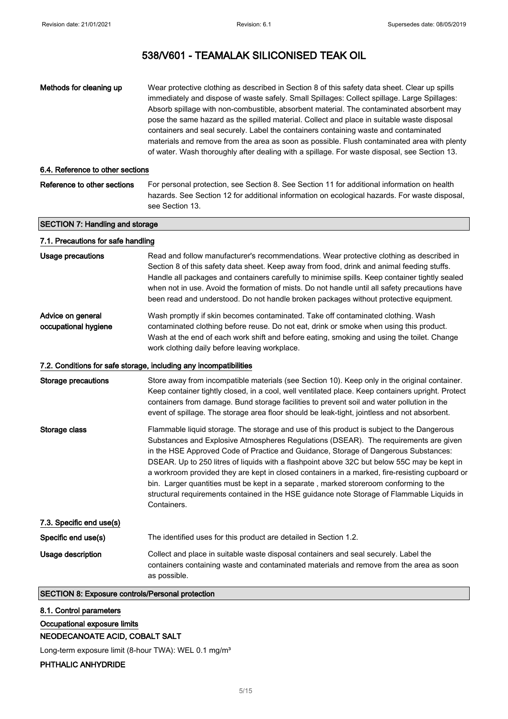| Methods for cleaning up                                 | Wear protective clothing as described in Section 8 of this safety data sheet. Clear up spills<br>immediately and dispose of waste safely. Small Spillages: Collect spillage. Large Spillages:<br>Absorb spillage with non-combustible, absorbent material. The contaminated absorbent may<br>pose the same hazard as the spilled material. Collect and place in suitable waste disposal<br>containers and seal securely. Label the containers containing waste and contaminated<br>materials and remove from the area as soon as possible. Flush contaminated area with plenty<br>of water. Wash thoroughly after dealing with a spillage. For waste disposal, see Section 13.  |
|---------------------------------------------------------|---------------------------------------------------------------------------------------------------------------------------------------------------------------------------------------------------------------------------------------------------------------------------------------------------------------------------------------------------------------------------------------------------------------------------------------------------------------------------------------------------------------------------------------------------------------------------------------------------------------------------------------------------------------------------------|
| 6.4. Reference to other sections                        |                                                                                                                                                                                                                                                                                                                                                                                                                                                                                                                                                                                                                                                                                 |
| Reference to other sections                             | For personal protection, see Section 8. See Section 11 for additional information on health<br>hazards. See Section 12 for additional information on ecological hazards. For waste disposal,<br>see Section 13.                                                                                                                                                                                                                                                                                                                                                                                                                                                                 |
| <b>SECTION 7: Handling and storage</b>                  |                                                                                                                                                                                                                                                                                                                                                                                                                                                                                                                                                                                                                                                                                 |
| 7.1. Precautions for safe handling                      |                                                                                                                                                                                                                                                                                                                                                                                                                                                                                                                                                                                                                                                                                 |
| <b>Usage precautions</b>                                | Read and follow manufacturer's recommendations. Wear protective clothing as described in<br>Section 8 of this safety data sheet. Keep away from food, drink and animal feeding stuffs.<br>Handle all packages and containers carefully to minimise spills. Keep container tightly sealed<br>when not in use. Avoid the formation of mists. Do not handle until all safety precautions have<br>been read and understood. Do not handle broken packages without protective equipment.                                                                                                                                                                                             |
| Advice on general<br>occupational hygiene               | Wash promptly if skin becomes contaminated. Take off contaminated clothing. Wash<br>contaminated clothing before reuse. Do not eat, drink or smoke when using this product.<br>Wash at the end of each work shift and before eating, smoking and using the toilet. Change<br>work clothing daily before leaving workplace.                                                                                                                                                                                                                                                                                                                                                      |
|                                                         | 7.2. Conditions for safe storage, including any incompatibilities                                                                                                                                                                                                                                                                                                                                                                                                                                                                                                                                                                                                               |
| <b>Storage precautions</b>                              | Store away from incompatible materials (see Section 10). Keep only in the original container.<br>Keep container tightly closed, in a cool, well ventilated place. Keep containers upright. Protect<br>containers from damage. Bund storage facilities to prevent soil and water pollution in the<br>event of spillage. The storage area floor should be leak-tight, jointless and not absorbent.                                                                                                                                                                                                                                                                                |
| Storage class                                           | Flammable liquid storage. The storage and use of this product is subject to the Dangerous<br>Substances and Explosive Atmospheres Regulations (DSEAR). The requirements are given<br>in the HSE Approved Code of Practice and Guidance, Storage of Dangerous Substances:<br>DSEAR. Up to 250 litres of liquids with a flashpoint above 32C but below 55C may be kept in<br>a workroom provided they are kept in closed containers in a marked, fire-resisting cupboard or<br>bin. Larger quantities must be kept in a separate, marked storeroom conforming to the<br>structural requirements contained in the HSE guidance note Storage of Flammable Liquids in<br>Containers. |
| 7.3. Specific end use(s)                                |                                                                                                                                                                                                                                                                                                                                                                                                                                                                                                                                                                                                                                                                                 |
| Specific end use(s)                                     | The identified uses for this product are detailed in Section 1.2.                                                                                                                                                                                                                                                                                                                                                                                                                                                                                                                                                                                                               |
| <b>Usage description</b>                                | Collect and place in suitable waste disposal containers and seal securely. Label the<br>containers containing waste and contaminated materials and remove from the area as soon<br>as possible.                                                                                                                                                                                                                                                                                                                                                                                                                                                                                 |
| <b>SECTION 8: Exposure controls/Personal protection</b> |                                                                                                                                                                                                                                                                                                                                                                                                                                                                                                                                                                                                                                                                                 |
| 8.1. Control parameters                                 |                                                                                                                                                                                                                                                                                                                                                                                                                                                                                                                                                                                                                                                                                 |
| Occupational exposure limits                            |                                                                                                                                                                                                                                                                                                                                                                                                                                                                                                                                                                                                                                                                                 |
| NEODECANOATE ACID, COBALT SALT                          |                                                                                                                                                                                                                                                                                                                                                                                                                                                                                                                                                                                                                                                                                 |

Long-term exposure limit (8-hour TWA): WEL 0.1 mg/m<sup>3</sup>

### PHTHALIC ANHYDRIDE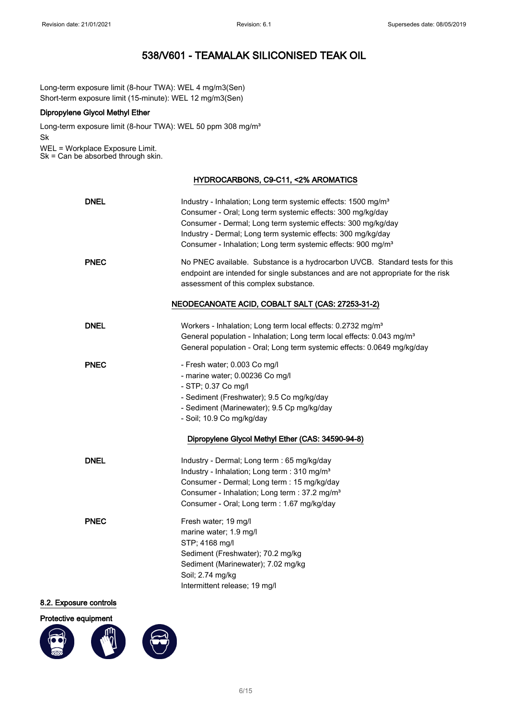Long-term exposure limit (8-hour TWA): WEL 4 mg/m3(Sen) Short-term exposure limit (15-minute): WEL 12 mg/m3(Sen)

#### Dipropylene Glycol Methyl Ether

Long-term exposure limit (8-hour TWA): WEL 50 ppm 308 mg/m<sup>3</sup> Sk WEL = Workplace Exposure Limit.

Sk = Can be absorbed through skin.

#### HYDROCARBONS, C9-C11, <2% AROMATICS

| <b>DNEL</b> | Industry - Inhalation; Long term systemic effects: 1500 mg/m <sup>3</sup><br>Consumer - Oral; Long term systemic effects: 300 mg/kg/day<br>Consumer - Dermal; Long term systemic effects: 300 mg/kg/day<br>Industry - Dermal; Long term systemic effects: 300 mg/kg/day<br>Consumer - Inhalation; Long term systemic effects: 900 mg/m <sup>3</sup> |
|-------------|-----------------------------------------------------------------------------------------------------------------------------------------------------------------------------------------------------------------------------------------------------------------------------------------------------------------------------------------------------|
| <b>PNEC</b> | No PNEC available. Substance is a hydrocarbon UVCB. Standard tests for this<br>endpoint are intended for single substances and are not appropriate for the risk<br>assessment of this complex substance.                                                                                                                                            |
|             | NEODECANOATE ACID, COBALT SALT (CAS: 27253-31-2)                                                                                                                                                                                                                                                                                                    |
| <b>DNEL</b> | Workers - Inhalation; Long term local effects: 0.2732 mg/m <sup>3</sup><br>General population - Inhalation; Long term local effects: 0.043 mg/m <sup>3</sup><br>General population - Oral; Long term systemic effects: 0.0649 mg/kg/day                                                                                                             |
| <b>PNEC</b> | - Fresh water; 0.003 Co mg/l<br>- marine water; 0.00236 Co mg/l<br>- STP; 0.37 Co mg/l<br>- Sediment (Freshwater); 9.5 Co mg/kg/day<br>- Sediment (Marinewater); 9.5 Cp mg/kg/day<br>- Soil; 10.9 Co mg/kg/day<br>Dipropylene Glycol Methyl Ether (CAS: 34590-94-8)                                                                                 |
| <b>DNEL</b> | Industry - Dermal; Long term : 65 mg/kg/day<br>Industry - Inhalation; Long term : 310 mg/m <sup>3</sup><br>Consumer - Dermal; Long term : 15 mg/kg/day<br>Consumer - Inhalation; Long term : 37.2 mg/m <sup>3</sup><br>Consumer - Oral; Long term : 1.67 mg/kg/day                                                                                  |
| <b>PNEC</b> | Fresh water; 19 mg/l<br>marine water; 1.9 mg/l<br>STP; 4168 mg/l<br>Sediment (Freshwater); 70.2 mg/kg<br>Sediment (Marinewater); 7.02 mg/kg<br>Soil; 2.74 mg/kg<br>Intermittent release; 19 mg/l                                                                                                                                                    |

#### 8.2. Exposure controls

#### Protective equipment

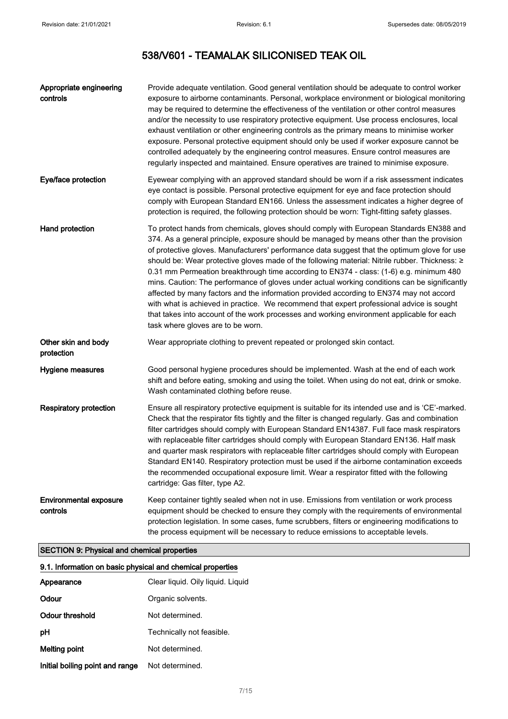| Appropriate engineering<br>controls       | Provide adequate ventilation. Good general ventilation should be adequate to control worker<br>exposure to airborne contaminants. Personal, workplace environment or biological monitoring<br>may be required to determine the effectiveness of the ventilation or other control measures<br>and/or the necessity to use respiratory protective equipment. Use process enclosures, local<br>exhaust ventilation or other engineering controls as the primary means to minimise worker<br>exposure. Personal protective equipment should only be used if worker exposure cannot be<br>controlled adequately by the engineering control measures. Ensure control measures are<br>regularly inspected and maintained. Ensure operatives are trained to minimise exposure.                                                                                                                                       |
|-------------------------------------------|--------------------------------------------------------------------------------------------------------------------------------------------------------------------------------------------------------------------------------------------------------------------------------------------------------------------------------------------------------------------------------------------------------------------------------------------------------------------------------------------------------------------------------------------------------------------------------------------------------------------------------------------------------------------------------------------------------------------------------------------------------------------------------------------------------------------------------------------------------------------------------------------------------------|
| Eye/face protection                       | Eyewear complying with an approved standard should be worn if a risk assessment indicates<br>eye contact is possible. Personal protective equipment for eye and face protection should<br>comply with European Standard EN166. Unless the assessment indicates a higher degree of<br>protection is required, the following protection should be worn: Tight-fitting safety glasses.                                                                                                                                                                                                                                                                                                                                                                                                                                                                                                                          |
| Hand protection                           | To protect hands from chemicals, gloves should comply with European Standards EN388 and<br>374. As a general principle, exposure should be managed by means other than the provision<br>of protective gloves. Manufacturers' performance data suggest that the optimum glove for use<br>should be: Wear protective gloves made of the following material: Nitrile rubber. Thickness: ≥<br>0.31 mm Permeation breakthrough time according to EN374 - class: (1-6) e.g. minimum 480<br>mins. Caution: The performance of gloves under actual working conditions can be significantly<br>affected by many factors and the information provided according to EN374 may not accord<br>with what is achieved in practice. We recommend that expert professional advice is sought<br>that takes into account of the work processes and working environment applicable for each<br>task where gloves are to be worn. |
| Other skin and body<br>protection         | Wear appropriate clothing to prevent repeated or prolonged skin contact.                                                                                                                                                                                                                                                                                                                                                                                                                                                                                                                                                                                                                                                                                                                                                                                                                                     |
| Hygiene measures                          | Good personal hygiene procedures should be implemented. Wash at the end of each work<br>shift and before eating, smoking and using the toilet. When using do not eat, drink or smoke.<br>Wash contaminated clothing before reuse.                                                                                                                                                                                                                                                                                                                                                                                                                                                                                                                                                                                                                                                                            |
| <b>Respiratory protection</b>             | Ensure all respiratory protective equipment is suitable for its intended use and is 'CE'-marked.<br>Check that the respirator fits tightly and the filter is changed regularly. Gas and combination<br>filter cartridges should comply with European Standard EN14387. Full face mask respirators<br>with replaceable filter cartridges should comply with European Standard EN136. Half mask<br>and quarter mask respirators with replaceable filter cartridges should comply with European<br>Standard EN140. Respiratory protection must be used if the airborne contamination exceeds<br>the recommended occupational exposure limit. Wear a respirator fitted with the following<br>cartridge: Gas filter, type A2.                                                                                                                                                                                     |
| <b>Environmental exposure</b><br>controls | Keep container tightly sealed when not in use. Emissions from ventilation or work process<br>equipment should be checked to ensure they comply with the requirements of environmental<br>protection legislation. In some cases, fume scrubbers, filters or engineering modifications to<br>the process equipment will be necessary to reduce emissions to acceptable levels.                                                                                                                                                                                                                                                                                                                                                                                                                                                                                                                                 |

## SECTION 9: Physical and chemical properties

| 9.1. Information on basic physical and chemical properties |                                   |  |
|------------------------------------------------------------|-----------------------------------|--|
| Appearance                                                 | Clear liquid. Oily liquid. Liquid |  |
| Odour                                                      | Organic solvents.                 |  |
| Odour threshold                                            | Not determined.                   |  |
| рH                                                         | Technically not feasible.         |  |
| Melting point                                              | Not determined.                   |  |
| Initial boiling point and range                            | Not determined.                   |  |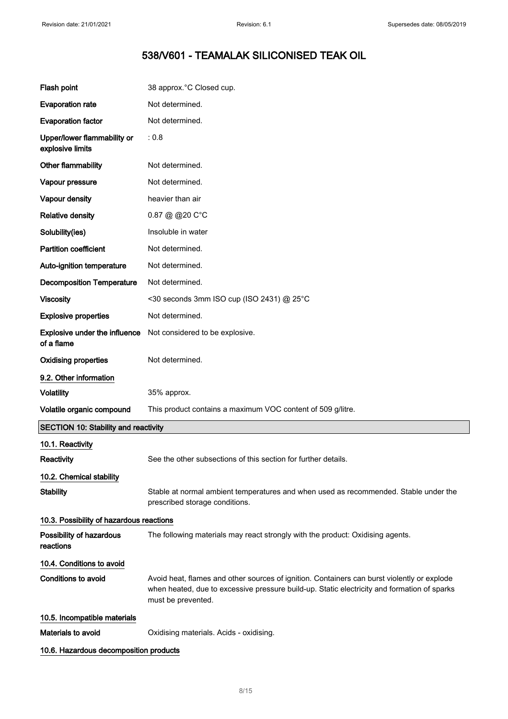| Flash point                                        | 38 approx. °C Closed cup.                                                                                                                                                                                        |
|----------------------------------------------------|------------------------------------------------------------------------------------------------------------------------------------------------------------------------------------------------------------------|
| <b>Evaporation rate</b>                            | Not determined.                                                                                                                                                                                                  |
| <b>Evaporation factor</b>                          | Not determined.                                                                                                                                                                                                  |
| Upper/lower flammability or<br>explosive limits    | : 0.8                                                                                                                                                                                                            |
| Other flammability                                 | Not determined.                                                                                                                                                                                                  |
| Vapour pressure                                    | Not determined.                                                                                                                                                                                                  |
| Vapour density                                     | heavier than air                                                                                                                                                                                                 |
| <b>Relative density</b>                            | 0.87 @ @20 C°C                                                                                                                                                                                                   |
| Solubility(ies)                                    | Insoluble in water                                                                                                                                                                                               |
| <b>Partition coefficient</b>                       | Not determined.                                                                                                                                                                                                  |
| Auto-ignition temperature                          | Not determined.                                                                                                                                                                                                  |
| <b>Decomposition Temperature</b>                   | Not determined.                                                                                                                                                                                                  |
| <b>Viscosity</b>                                   | <30 seconds 3mm ISO cup (ISO 2431) @ 25°C                                                                                                                                                                        |
| <b>Explosive properties</b>                        | Not determined.                                                                                                                                                                                                  |
| <b>Explosive under the influence</b><br>of a flame | Not considered to be explosive.                                                                                                                                                                                  |
| <b>Oxidising properties</b>                        | Not determined.                                                                                                                                                                                                  |
| 9.2. Other information                             |                                                                                                                                                                                                                  |
| <b>Volatility</b>                                  | 35% approx.                                                                                                                                                                                                      |
| Volatile organic compound                          | This product contains a maximum VOC content of 509 g/litre.                                                                                                                                                      |
| <b>SECTION 10: Stability and reactivity</b>        |                                                                                                                                                                                                                  |
| 10.1. Reactivity                                   |                                                                                                                                                                                                                  |
| Reactivity                                         | See the other subsections of this section for further details.                                                                                                                                                   |
| 10.2. Chemical stability                           |                                                                                                                                                                                                                  |
| <b>Stability</b>                                   | Stable at normal ambient temperatures and when used as recommended. Stable under the<br>prescribed storage conditions.                                                                                           |
| 10.3. Possibility of hazardous reactions           |                                                                                                                                                                                                                  |
| Possibility of hazardous<br>reactions              | The following materials may react strongly with the product: Oxidising agents.                                                                                                                                   |
| 10.4. Conditions to avoid                          |                                                                                                                                                                                                                  |
| Conditions to avoid                                | Avoid heat, flames and other sources of ignition. Containers can burst violently or explode<br>when heated, due to excessive pressure build-up. Static electricity and formation of sparks<br>must be prevented. |
| 10.5. Incompatible materials                       |                                                                                                                                                                                                                  |
| Materials to avoid                                 | Oxidising materials. Acids - oxidising.                                                                                                                                                                          |
| 10.6. Hazardous decomposition products             |                                                                                                                                                                                                                  |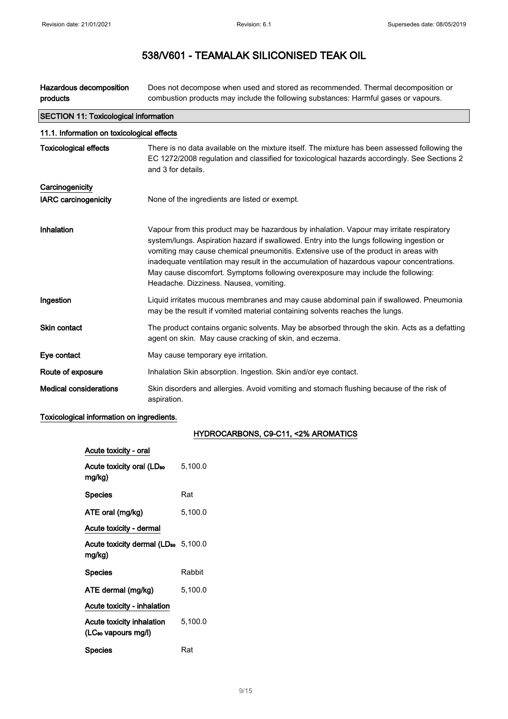Hazardous decomposition products Does not decompose when used and stored as recommended. Thermal decomposition or combustion products may include the following substances: Harmful gases or vapours.

| <b>SECTION 11: Toxicological information</b><br>11.1. Information on toxicological effects |                                                                                                                                                                                                                                                                                                                                                                                                                                                                                                         |  |
|--------------------------------------------------------------------------------------------|---------------------------------------------------------------------------------------------------------------------------------------------------------------------------------------------------------------------------------------------------------------------------------------------------------------------------------------------------------------------------------------------------------------------------------------------------------------------------------------------------------|--|
|                                                                                            |                                                                                                                                                                                                                                                                                                                                                                                                                                                                                                         |  |
| Carcinogenicity                                                                            |                                                                                                                                                                                                                                                                                                                                                                                                                                                                                                         |  |
| <b>IARC carcinogenicity</b>                                                                | None of the ingredients are listed or exempt.                                                                                                                                                                                                                                                                                                                                                                                                                                                           |  |
| <b>Inhalation</b>                                                                          | Vapour from this product may be hazardous by inhalation. Vapour may irritate respiratory<br>system/lungs. Aspiration hazard if swallowed. Entry into the lungs following ingestion or<br>vomiting may cause chemical pneumonitis. Extensive use of the product in areas with<br>inadequate ventilation may result in the accumulation of hazardous vapour concentrations.<br>May cause discomfort. Symptoms following overexposure may include the following:<br>Headache. Dizziness. Nausea, vomiting. |  |
| Ingestion                                                                                  | Liquid irritates mucous membranes and may cause abdominal pain if swallowed. Pneumonia<br>may be the result if vomited material containing solvents reaches the lungs.                                                                                                                                                                                                                                                                                                                                  |  |
| Skin contact                                                                               | The product contains organic solvents. May be absorbed through the skin. Acts as a defatting<br>agent on skin. May cause cracking of skin, and eczema.                                                                                                                                                                                                                                                                                                                                                  |  |
| Eye contact                                                                                | May cause temporary eye irritation.                                                                                                                                                                                                                                                                                                                                                                                                                                                                     |  |
| Route of exposure                                                                          | Inhalation Skin absorption. Ingestion. Skin and/or eye contact.                                                                                                                                                                                                                                                                                                                                                                                                                                         |  |
| <b>Medical considerations</b>                                                              | Skin disorders and allergies. Avoid vomiting and stomach flushing because of the risk of<br>aspiration.                                                                                                                                                                                                                                                                                                                                                                                                 |  |

#### Toxicological information on ingredients.

#### HYDROCARBONS, C9-C11, <2% AROMATICS

| Acute toxicity - oral                                        |         |
|--------------------------------------------------------------|---------|
| Acute toxicity oral (LD <sub>50</sub><br>mg/kg)              | 5,100.0 |
| <b>Species</b>                                               | Rat     |
| ATE oral (mg/kg)                                             | 5,100.0 |
| Acute toxicity - dermal                                      |         |
| Acute toxicity dermal (LD <sub>50</sub> 5,100.0<br>mg/kg)    |         |
| <b>Species</b>                                               | Rabbit  |
| ATE dermal (mg/kg)                                           | 5,100.0 |
| Acute toxicity - inhalation                                  |         |
| Acute toxicity inhalation<br>(LC <sub>so</sub> vapours mg/l) | 5,100.0 |
| <b>Species</b>                                               | Rat     |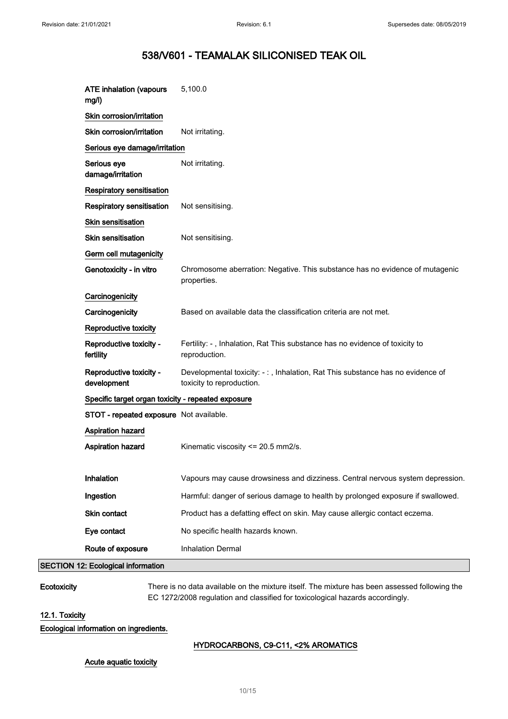| <b>ATE inhalation (vapours</b><br>mg/l)            | 5,100.0                                                                                                    |
|----------------------------------------------------|------------------------------------------------------------------------------------------------------------|
| Skin corrosion/irritation                          |                                                                                                            |
| Skin corrosion/irritation                          | Not irritating.                                                                                            |
| Serious eye damage/irritation                      |                                                                                                            |
| Serious eye<br>damage/irritation                   | Not irritating.                                                                                            |
| <b>Respiratory sensitisation</b>                   |                                                                                                            |
| <b>Respiratory sensitisation</b>                   | Not sensitising.                                                                                           |
| Skin sensitisation                                 |                                                                                                            |
| <b>Skin sensitisation</b>                          | Not sensitising.                                                                                           |
| Germ cell mutagenicity                             |                                                                                                            |
| Genotoxicity - in vitro                            | Chromosome aberration: Negative. This substance has no evidence of mutagenic<br>properties.                |
| Carcinogenicity                                    |                                                                                                            |
| Carcinogenicity                                    | Based on available data the classification criteria are not met.                                           |
| Reproductive toxicity                              |                                                                                                            |
| Reproductive toxicity -<br>fertility               | Fertility: -, Inhalation, Rat This substance has no evidence of toxicity to<br>reproduction.               |
| Reproductive toxicity -<br>development             | Developmental toxicity: -:, Inhalation, Rat This substance has no evidence of<br>toxicity to reproduction. |
| Specific target organ toxicity - repeated exposure |                                                                                                            |
| STOT - repeated exposure Not available.            |                                                                                                            |
| Aspiration hazard                                  |                                                                                                            |
| Aspiration hazard                                  | Kinematic viscosity <= 20.5 mm2/s.                                                                         |
|                                                    |                                                                                                            |
| Inhalation                                         | Vapours may cause drowsiness and dizziness. Central nervous system depression.                             |
| Ingestion                                          | Harmful: danger of serious damage to health by prolonged exposure if swallowed.                            |
| Skin contact                                       | Product has a defatting effect on skin. May cause allergic contact eczema.                                 |
| Eye contact                                        | No specific health hazards known.                                                                          |
| Route of exposure                                  | <b>Inhalation Dermal</b>                                                                                   |
| 12: Ecological information.                        |                                                                                                            |

 $|$ SECTION  $\cdot$ 

Ecotoxicity There is no data available on the mixture itself. The mixture has been assessed following the EC 1272/2008 regulation and classified for toxicological hazards accordingly.

#### 12.1. Toxicity

#### Ecological information on ingredients.

#### HYDROCARBONS, C9-C11, <2% AROMATICS

#### Acute aquatic toxicity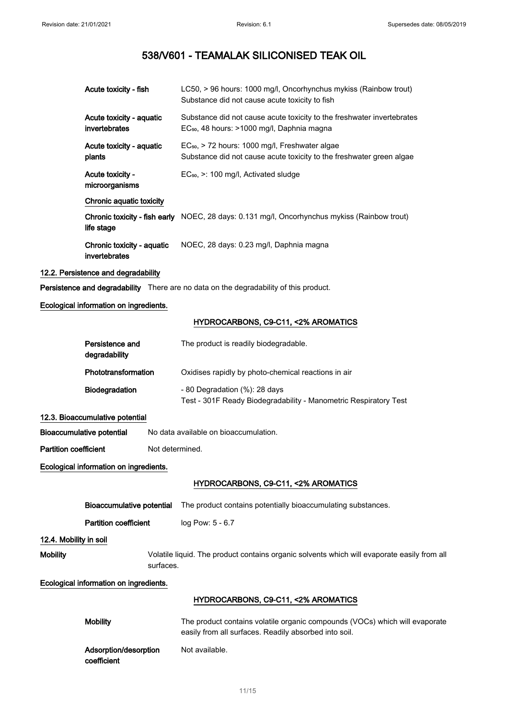| Acute toxicity - fish                       | LC50, > 96 hours: 1000 mg/l, Oncorhynchus mykiss (Rainbow trout)<br>Substance did not cause acute toxicity to fish                 |
|---------------------------------------------|------------------------------------------------------------------------------------------------------------------------------------|
| Acute toxicity - aquatic<br>invertebrates   | Substance did not cause acute toxicity to the freshwater invertebrates<br>EC <sub>50</sub> , 48 hours: >1000 mg/l, Daphnia magna   |
| Acute toxicity - aquatic<br>plants          | EC <sub>50</sub> , > 72 hours: 1000 mg/l, Freshwater algae<br>Substance did not cause acute toxicity to the freshwater green algae |
| Acute toxicity -<br>microorganisms          | $EC_{50}$ , $\geq$ : 100 mg/l, Activated sludge                                                                                    |
| Chronic aquatic toxicity                    |                                                                                                                                    |
| life stage                                  | <b>Chronic toxicity - fish early</b> NOEC, 28 days: 0.131 mg/l, Oncorhynchus mykiss (Rainbow trout)                                |
| Chronic toxicity - aquatic<br>invertebrates | NOEC, 28 days: 0.23 mg/l, Daphnia magna                                                                                            |

#### 12.2. Persistence and degradability

Persistence and degradability There are no data on the degradability of this product.

#### Ecological information on ingredients.

#### HYDROCARBONS, C9-C11, <2% AROMATICS

| Persistence and<br>degradability | The product is readily biodegradable.                                                             |
|----------------------------------|---------------------------------------------------------------------------------------------------|
| Phototransformation              | Oxidises rapidly by photo-chemical reactions in air                                               |
| <b>Biodegradation</b>            | - 80 Degradation (%): 28 days<br>Test - 301F Ready Biodegradability - Manometric Respiratory Test |

#### 12.3. Bioaccumulative potential

Bioaccumulative potential No data available on bioaccumulation.

Partition coefficient Not determined.

#### Ecological information on ingredients.

#### HYDROCARBONS, C9-C11, <2% AROMATICS

|                              | Bioaccumulative potential              | The product contains potentially bioaccumulating substances.                                                                         |  |
|------------------------------|----------------------------------------|--------------------------------------------------------------------------------------------------------------------------------------|--|
| <b>Partition coefficient</b> |                                        | log Pow: 5 - 6.7                                                                                                                     |  |
| 12.4. Mobility in soil       |                                        |                                                                                                                                      |  |
| <b>Mobility</b>              |                                        | Volatile liquid. The product contains organic solvents which will evaporate easily from all<br>surfaces.                             |  |
|                              | Ecological information on ingredients. |                                                                                                                                      |  |
|                              |                                        | HYDROCARBONS, C9-C11, <2% AROMATICS                                                                                                  |  |
|                              | <b>Mobility</b>                        | The product contains volatile organic compounds (VOCs) which will evaporate<br>easily from all surfaces. Readily absorbed into soil. |  |

Adsorption/desorption coefficient Not available.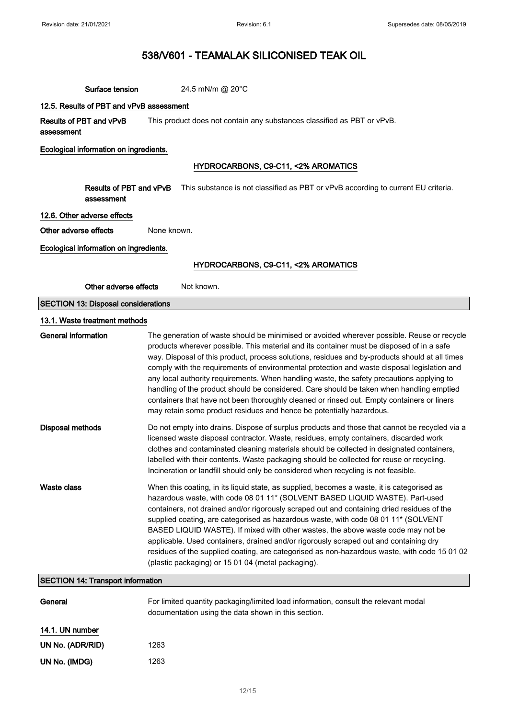| Surface tension                            | 24.5 mN/m @ 20°C                                                                                                                                                                                                                                                                                                                                                                                                                                                                                                                                                                                                                                                                                                                                        |  |
|--------------------------------------------|---------------------------------------------------------------------------------------------------------------------------------------------------------------------------------------------------------------------------------------------------------------------------------------------------------------------------------------------------------------------------------------------------------------------------------------------------------------------------------------------------------------------------------------------------------------------------------------------------------------------------------------------------------------------------------------------------------------------------------------------------------|--|
| 12.5. Results of PBT and vPvB assessment   |                                                                                                                                                                                                                                                                                                                                                                                                                                                                                                                                                                                                                                                                                                                                                         |  |
| Results of PBT and vPvB<br>assessment      | This product does not contain any substances classified as PBT or vPvB.                                                                                                                                                                                                                                                                                                                                                                                                                                                                                                                                                                                                                                                                                 |  |
| Ecological information on ingredients.     |                                                                                                                                                                                                                                                                                                                                                                                                                                                                                                                                                                                                                                                                                                                                                         |  |
|                                            | HYDROCARBONS, C9-C11, <2% AROMATICS                                                                                                                                                                                                                                                                                                                                                                                                                                                                                                                                                                                                                                                                                                                     |  |
|                                            |                                                                                                                                                                                                                                                                                                                                                                                                                                                                                                                                                                                                                                                                                                                                                         |  |
| Results of PBT and vPvB<br>assessment      | This substance is not classified as PBT or vPvB according to current EU criteria.                                                                                                                                                                                                                                                                                                                                                                                                                                                                                                                                                                                                                                                                       |  |
| 12.6. Other adverse effects                |                                                                                                                                                                                                                                                                                                                                                                                                                                                                                                                                                                                                                                                                                                                                                         |  |
| Other adverse effects                      | None known.                                                                                                                                                                                                                                                                                                                                                                                                                                                                                                                                                                                                                                                                                                                                             |  |
| Ecological information on ingredients.     |                                                                                                                                                                                                                                                                                                                                                                                                                                                                                                                                                                                                                                                                                                                                                         |  |
|                                            | HYDROCARBONS, C9-C11, <2% AROMATICS                                                                                                                                                                                                                                                                                                                                                                                                                                                                                                                                                                                                                                                                                                                     |  |
| Other adverse effects                      | Not known.                                                                                                                                                                                                                                                                                                                                                                                                                                                                                                                                                                                                                                                                                                                                              |  |
|                                            |                                                                                                                                                                                                                                                                                                                                                                                                                                                                                                                                                                                                                                                                                                                                                         |  |
| <b>SECTION 13: Disposal considerations</b> |                                                                                                                                                                                                                                                                                                                                                                                                                                                                                                                                                                                                                                                                                                                                                         |  |
| 13.1. Waste treatment methods              |                                                                                                                                                                                                                                                                                                                                                                                                                                                                                                                                                                                                                                                                                                                                                         |  |
| <b>General information</b>                 | The generation of waste should be minimised or avoided wherever possible. Reuse or recycle<br>products wherever possible. This material and its container must be disposed of in a safe<br>way. Disposal of this product, process solutions, residues and by-products should at all times<br>comply with the requirements of environmental protection and waste disposal legislation and<br>any local authority requirements. When handling waste, the safety precautions applying to<br>handling of the product should be considered. Care should be taken when handling emptied<br>containers that have not been thoroughly cleaned or rinsed out. Empty containers or liners<br>may retain some product residues and hence be potentially hazardous. |  |
| <b>Disposal methods</b>                    | Do not empty into drains. Dispose of surplus products and those that cannot be recycled via a<br>licensed waste disposal contractor. Waste, residues, empty containers, discarded work<br>clothes and contaminated cleaning materials should be collected in designated containers,<br>labelled with their contents. Waste packaging should be collected for reuse or recycling.<br>Incineration or landfill should only be considered when recycling is not feasible.                                                                                                                                                                                                                                                                                  |  |
| Waste class                                | When this coating, in its liquid state, as supplied, becomes a waste, it is categorised as<br>hazardous waste, with code 08 01 11* (SOLVENT BASED LIQUID WASTE). Part-used<br>containers, not drained and/or rigorously scraped out and containing dried residues of the<br>supplied coating, are categorised as hazardous waste, with code 08 01 11* (SOLVENT<br>BASED LIQUID WASTE). If mixed with other wastes, the above waste code may not be<br>applicable. Used containers, drained and/or rigorously scraped out and containing dry<br>residues of the supplied coating, are categorised as non-hazardous waste, with code 15 01 02<br>(plastic packaging) or 15 01 04 (metal packaging).                                                       |  |
| <b>SECTION 14: Transport information</b>   |                                                                                                                                                                                                                                                                                                                                                                                                                                                                                                                                                                                                                                                                                                                                                         |  |
| General                                    | For limited quantity packaging/limited load information, consult the relevant modal<br>documentation using the data shown in this section.                                                                                                                                                                                                                                                                                                                                                                                                                                                                                                                                                                                                              |  |
| 14.1. UN number                            |                                                                                                                                                                                                                                                                                                                                                                                                                                                                                                                                                                                                                                                                                                                                                         |  |
| UN No. (ADR/RID)                           | 1263                                                                                                                                                                                                                                                                                                                                                                                                                                                                                                                                                                                                                                                                                                                                                    |  |

UN No. (IMDG) 1263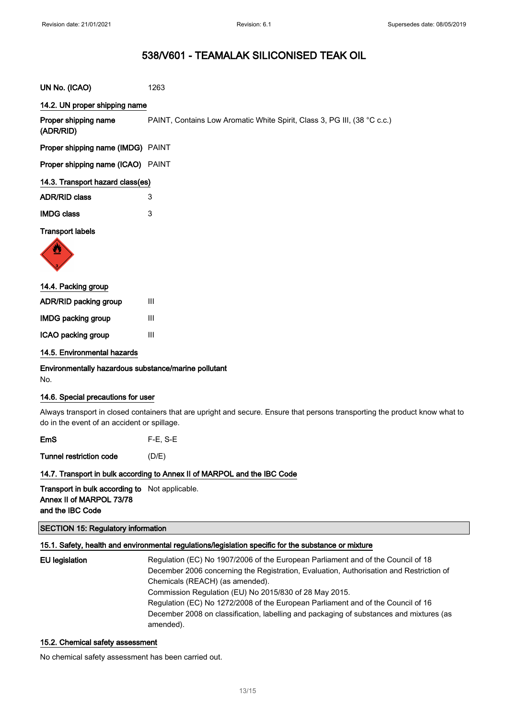| UN No. (ICAO)                     | 1263                                                                     |
|-----------------------------------|--------------------------------------------------------------------------|
| 14.2. UN proper shipping name     |                                                                          |
| Proper shipping name<br>(ADR/RID) | PAINT, Contains Low Aromatic White Spirit, Class 3, PG III, (38 °C c.c.) |
| Proper shipping name (IMDG) PAINT |                                                                          |
| Proper shipping name (ICAO) PAINT |                                                                          |
| 14.3. Transport hazard class(es)  |                                                                          |
| <b>ADR/RID class</b>              | 3                                                                        |
| <b>IMDG class</b>                 | 3                                                                        |
| <b>Transport labels</b><br>W      |                                                                          |
| 14.4. Packing group               |                                                                          |
| ADR/RID packing group             | Ш                                                                        |
| <b>IMDG packing group</b>         | III                                                                      |
| ICAO packing group                | Ш                                                                        |

#### 14.5. Environmental hazards

Environmentally hazardous substance/marine pollutant No.

#### 14.6. Special precautions for user

Always transport in closed containers that are upright and secure. Ensure that persons transporting the product know what to do in the event of an accident or spillage.

EmS F-E, S-E

Tunnel restriction code (D/E)

#### 14.7. Transport in bulk according to Annex II of MARPOL and the IBC Code

Transport in bulk according to Not applicable. Annex II of MARPOL 73/78 and the IBC Code

#### SECTION 15: Regulatory information

#### 15.1. Safety, health and environmental regulations/legislation specific for the substance or mixture

EU legislation **Regulation (EC) No 1907/2006** of the European Parliament and of the Council of 18 December 2006 concerning the Registration, Evaluation, Authorisation and Restriction of Chemicals (REACH) (as amended). Commission Regulation (EU) No 2015/830 of 28 May 2015. Regulation (EC) No 1272/2008 of the European Parliament and of the Council of 16 December 2008 on classification, labelling and packaging of substances and mixtures (as amended).

#### 15.2. Chemical safety assessment

No chemical safety assessment has been carried out.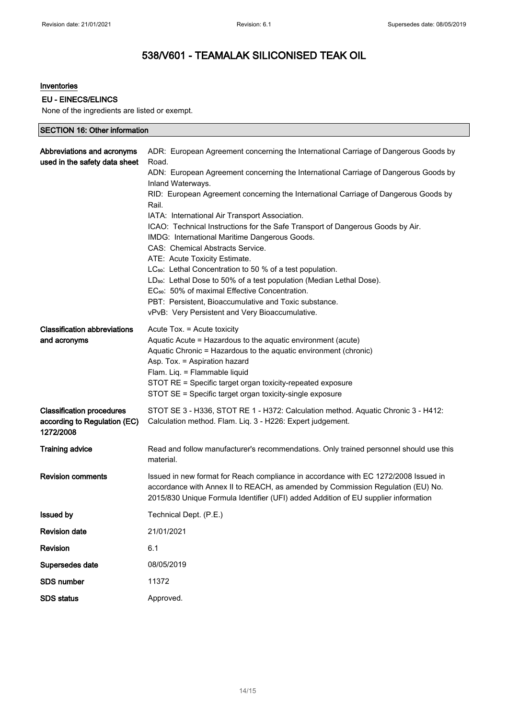## Inventories

EU - EINECS/ELINCS

None of the ingredients are listed or exempt.

| <b>SECTION 16: Other information</b>                                          |                                                                                                                                                                                                                                                                                                                                                                                                                                                                                                                                                                                                                                                                                                                                                                                                                                                                                                           |
|-------------------------------------------------------------------------------|-----------------------------------------------------------------------------------------------------------------------------------------------------------------------------------------------------------------------------------------------------------------------------------------------------------------------------------------------------------------------------------------------------------------------------------------------------------------------------------------------------------------------------------------------------------------------------------------------------------------------------------------------------------------------------------------------------------------------------------------------------------------------------------------------------------------------------------------------------------------------------------------------------------|
| Abbreviations and acronyms<br>used in the safety data sheet                   | ADR: European Agreement concerning the International Carriage of Dangerous Goods by<br>Road.<br>ADN: European Agreement concerning the International Carriage of Dangerous Goods by<br>Inland Waterways.<br>RID: European Agreement concerning the International Carriage of Dangerous Goods by<br>Rail.<br>IATA: International Air Transport Association.<br>ICAO: Technical Instructions for the Safe Transport of Dangerous Goods by Air.<br>IMDG: International Maritime Dangerous Goods.<br>CAS: Chemical Abstracts Service.<br>ATE: Acute Toxicity Estimate.<br>LC <sub>50</sub> : Lethal Concentration to 50 % of a test population.<br>LD <sub>50</sub> : Lethal Dose to 50% of a test population (Median Lethal Dose).<br>EC <sub>50</sub> : 50% of maximal Effective Concentration.<br>PBT: Persistent, Bioaccumulative and Toxic substance.<br>vPvB: Very Persistent and Very Bioaccumulative. |
| <b>Classification abbreviations</b><br>and acronyms                           | Acute Tox. = Acute toxicity<br>Aquatic Acute = Hazardous to the aquatic environment (acute)<br>Aquatic Chronic = Hazardous to the aquatic environment (chronic)<br>Asp. Tox. = Aspiration hazard<br>Flam. Liq. = Flammable liquid<br>STOT RE = Specific target organ toxicity-repeated exposure<br>STOT SE = Specific target organ toxicity-single exposure                                                                                                                                                                                                                                                                                                                                                                                                                                                                                                                                               |
| <b>Classification procedures</b><br>according to Regulation (EC)<br>1272/2008 | STOT SE 3 - H336, STOT RE 1 - H372: Calculation method. Aquatic Chronic 3 - H412:<br>Calculation method. Flam. Liq. 3 - H226: Expert judgement.                                                                                                                                                                                                                                                                                                                                                                                                                                                                                                                                                                                                                                                                                                                                                           |
| <b>Training advice</b>                                                        | Read and follow manufacturer's recommendations. Only trained personnel should use this<br>material.                                                                                                                                                                                                                                                                                                                                                                                                                                                                                                                                                                                                                                                                                                                                                                                                       |
| <b>Revision comments</b>                                                      | Issued in new format for Reach compliance in accordance with EC 1272/2008 Issued in<br>accordance with Annex II to REACH, as amended by Commission Regulation (EU) No.<br>2015/830 Unique Formula Identifier (UFI) added Addition of EU supplier information                                                                                                                                                                                                                                                                                                                                                                                                                                                                                                                                                                                                                                              |
| <b>Issued by</b>                                                              | Technical Dept. (P.E.)                                                                                                                                                                                                                                                                                                                                                                                                                                                                                                                                                                                                                                                                                                                                                                                                                                                                                    |
| <b>Revision date</b>                                                          | 21/01/2021                                                                                                                                                                                                                                                                                                                                                                                                                                                                                                                                                                                                                                                                                                                                                                                                                                                                                                |
| <b>Revision</b>                                                               | 6.1                                                                                                                                                                                                                                                                                                                                                                                                                                                                                                                                                                                                                                                                                                                                                                                                                                                                                                       |
| Supersedes date                                                               | 08/05/2019                                                                                                                                                                                                                                                                                                                                                                                                                                                                                                                                                                                                                                                                                                                                                                                                                                                                                                |
| <b>SDS number</b>                                                             | 11372                                                                                                                                                                                                                                                                                                                                                                                                                                                                                                                                                                                                                                                                                                                                                                                                                                                                                                     |
| <b>SDS status</b>                                                             | Approved.                                                                                                                                                                                                                                                                                                                                                                                                                                                                                                                                                                                                                                                                                                                                                                                                                                                                                                 |